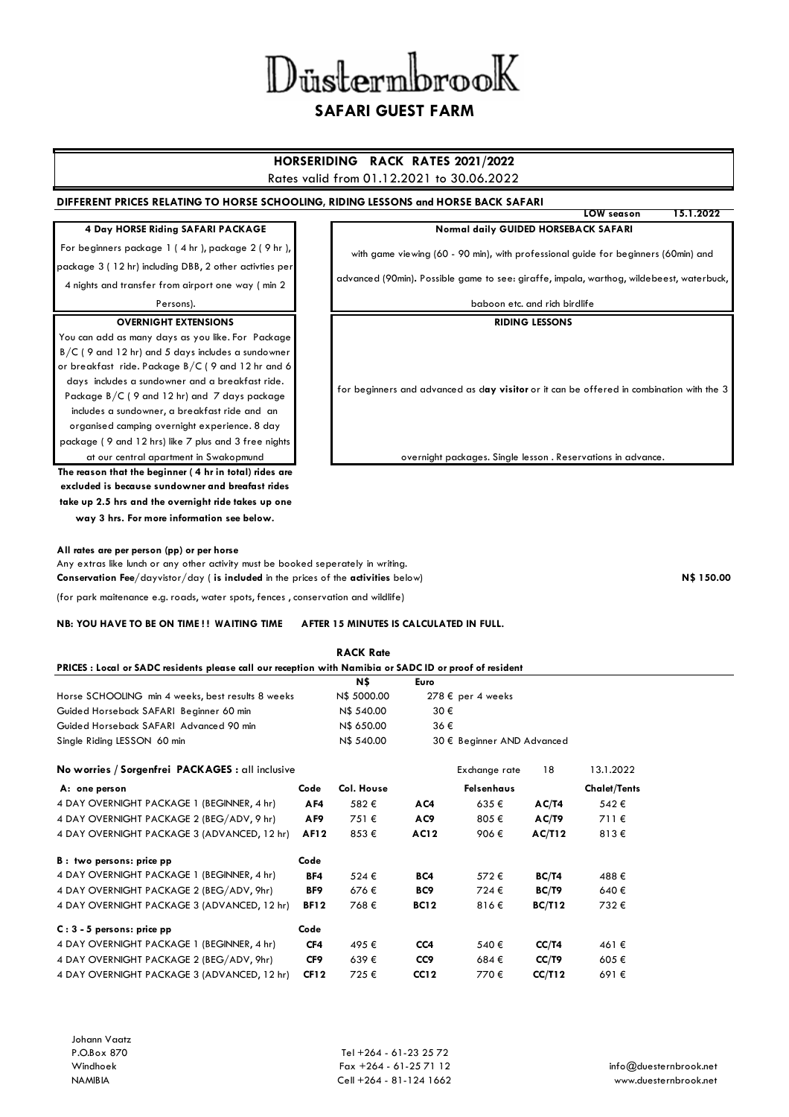| Düstermbrook |  |
|--------------|--|
|--------------|--|

# **SAFARI GUEST FARM**

## **HORSERIDING RACK RATES 2021/2022**

#### Rates valid from 01.12.2021 to 30.06.2022

#### **DIFFERENT PRICES RELATING TO HORSE SCHOOLING, RIDING LESSONS and HORSE BACK SAFARI**

### **4 Day HORSE Riding SAFARI PACKAGE**

For beginners package 1 ( 4 hr ), package 2 ( 9 hr ), package 3 ( 12 hr) including DBB, 2 other activties per

4 nights and transfer from airport one way ( min 2

### Persons). **OVERNIGHT EXTENSIONS**

You can add as many days as you like. For Package B/C ( 9 and 12 hr) and 5 days includes a sundowner or breakfast ride. Package B/C ( 9 and 12 hr and 6 days includes a sundowner and a breakfast ride. Package B/C ( 9 and 12 hr) and 7 days package includes a sundowner, a breakfast ride and an organised camping overnight experience. 8 day package ( 9 and 12 hrs) like 7 plus and 3 free nights

**The reason that the beginner ( 4 hr in total) rides are excluded is because sundowner and breafast rides take up 2.5 hrs and the overnight ride takes up one way 3 hrs. For more information see below.**  at our central apartment in Swakopmund

**All rates are per person (pp) or per horse**

Any extras like lunch or any other activity must be booked seperately in writing. **Conservation Fee**/dayvistor/day ( **is included** in the prices of the **activities** below)

(for park maitenance e.g. roads, water spots, fences , conservation and wildlife)

#### **NB: YOU HAVE TO BE ON TIME ! ! WAITING TIME AFTER 15 MINUTES IS CALCULATED IN FULL.**

**RACK Rate**

| Normal daily GUIDED HORSEBACK SAFARI                                               |  |  |  |  |  |  |  |
|------------------------------------------------------------------------------------|--|--|--|--|--|--|--|
| with game viewing (60 - 90 min), with professional quide for beginners (60min) and |  |  |  |  |  |  |  |

**LOW season 15.1.2022**

advanced (90min)**.** Possible game to see: giraffe, impala, warthog, wildebeest, waterbuck,

baboon etc. and rich birdlife

**RIDING LESSONS**

for beginners and advanced as d**ay visitor** or it can be offered in combination with the 3

overnight packages. Single lesson . Reservations in advance.

**N\$ 150.00**

| PRICES: Local or SADC residents please call our reception with Namibia or SADC ID or proof of resident |             |             |                            |                            |               |                     |  |
|--------------------------------------------------------------------------------------------------------|-------------|-------------|----------------------------|----------------------------|---------------|---------------------|--|
|                                                                                                        |             | N\$         | Euro                       |                            |               |                     |  |
| Horse SCHOOLING min 4 weeks, best results 8 weeks                                                      |             | N\$ 5000.00 |                            | $278 \epsilon$ per 4 weeks |               |                     |  |
| Guided Horseback SAFARI Beginner 60 min                                                                |             | N\$ 540.00  | 30€                        |                            |               |                     |  |
| Guided Horseback SAFARI Advanced 90 min                                                                |             | N\$ 650.00  | 36€                        |                            |               |                     |  |
| Single Riding LESSON 60 min                                                                            |             | N\$ 540.00  | 30 € Beginner AND Advanced |                            |               |                     |  |
| No worries / Sorgenfrei PACKAGES : all inclusive                                                       |             |             |                            | Exchange rate              | 18            | 13.1.2022           |  |
| A: one person                                                                                          | Code        | Col. House  |                            | Felsenhaus                 |               | <b>Chalet/Tents</b> |  |
| 4 DAY OVERNIGHT PACKAGE 1 (BEGINNER, 4 hr)                                                             | AF4         | 582€        | AC4                        | 635€                       | AC/T4         | 542€                |  |
| 4 DAY OVERNIGHT PACKAGE 2 (BEG/ADV, 9 hr)                                                              | AF9         | 751€        | AC9                        | 805€                       | AC/T9         | 711€                |  |
| 4 DAY OVERNIGHT PACKAGE 3 (ADVANCED, 12 hr)                                                            | <b>AF12</b> | 853€        | <b>AC12</b>                | 906€                       | AC/112        | 813€                |  |
| B: two persons: price pp                                                                               | Code        |             |                            |                            |               |                     |  |
| 4 DAY OVERNIGHT PACKAGE 1 (BEGINNER, 4 hr)                                                             | BF4         | 524€        | BC4                        | 572€                       | BC/T4         | 488€                |  |
| 4 DAY OVERNIGHT PACKAGE 2 (BEG/ADV, 9hr)                                                               | BF9         | 676€        | BC9                        | 724€                       | BC/T9         | 640€                |  |
| 4 DAY OVERNIGHT PACKAGE 3 (ADVANCED, 12 hr)                                                            | <b>BF12</b> | 768€        | <b>BC12</b>                | 816€                       | <b>BC/T12</b> | 732€                |  |
| $C: 3 - 5$ persons: price pp                                                                           | Code        |             |                            |                            |               |                     |  |
| 4 DAY OVERNIGHT PACKAGE 1 (BEGINNER, 4 hr)                                                             | CF4         | 495€        | CC4                        | 540€                       | CC/T4         | 461€                |  |
| 4 DAY OVERNIGHT PACKAGE 2 (BEG/ADV, 9hr)                                                               | CF9         | 639€        | CC9                        | 684€                       | CC/T9         | 605€                |  |
| 4 DAY OVERNIGHT PACKAGE 3 (ADVANCED, 12 hr)                                                            | <b>CF12</b> | 725€        | <b>CC12</b>                | 770€                       | CC/T12        | 691€                |  |